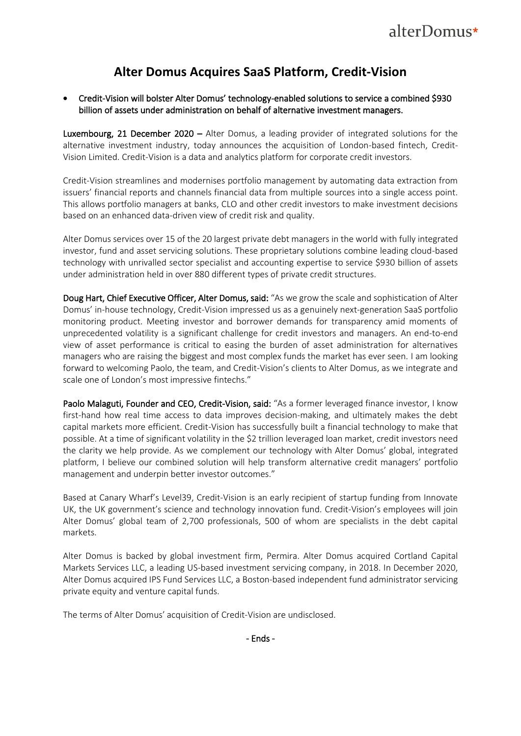## **Alter Domus Acquires SaaS Platform, Credit-Vision**

• Credit-Vision will bolster Alter Domus' technology-enabled solutions to service a combined \$930 billion of assets under administration on behalf of alternative investment managers.

Luxembourg, 21 December 2020 – Alter Domus, a leading provider of integrated solutions for the alternative investment industry, today announces the acquisition of London-based fintech, Credit-Vision Limited. Credit-Vision is a data and analytics platform for corporate credit investors.

Credit-Vision streamlines and modernises portfolio management by automating data extraction from issuers' financial reports and channels financial data from multiple sources into a single access point. This allows portfolio managers at banks, CLO and other credit investors to make investment decisions based on an enhanced data-driven view of credit risk and quality.

Alter Domus services over 15 of the 20 largest private debt managers in the world with fully integrated investor, fund and asset servicing solutions. These proprietary solutions combine leading cloud-based technology with unrivalled sector specialist and accounting expertise to service \$930 billion of assets under administration held in over 880 different types of private credit structures.

Doug Hart, Chief Executive Officer, Alter Domus, said: "As we grow the scale and sophistication of Alter Domus' in-house technology, Credit-Vision impressed us as a genuinely next-generation SaaS portfolio monitoring product. Meeting investor and borrower demands for transparency amid moments of unprecedented volatility is a significant challenge for credit investors and managers. An end-to-end view of asset performance is critical to easing the burden of asset administration for alternatives managers who are raising the biggest and most complex funds the market has ever seen. I am looking forward to welcoming Paolo, the team, and Credit-Vision's clients to Alter Domus, as we integrate and scale one of London's most impressive fintechs."

Paolo Malaguti, Founder and CEO, Credit-Vision, said: "As a former leveraged finance investor, I know first-hand how real time access to data improves decision-making, and ultimately makes the debt capital markets more efficient. Credit-Vision has successfully built a financial technology to make that possible. At a time of significant volatility in the \$2 trillion leveraged loan market, credit investors need the clarity we help provide. As we complement our technology with Alter Domus' global, integrated platform, I believe our combined solution will help transform alternative credit managers' portfolio management and underpin better investor outcomes."

Based at Canary Wharf's Level39, Credit-Vision is an early recipient of startup funding from Innovate UK, the UK government's science and technology innovation fund. Credit-Vision's employees will join Alter Domus' global team of 2,700 professionals, 500 of whom are specialists in the debt capital markets.

Alter Domus is backed by global investment firm, Permira. Alter Domus acquired Cortland Capital Markets Services LLC, a leading US-based investment servicing company, in 2018. In December 2020, Alter Domus acquired IPS Fund Services LLC, a Boston-based independent fund administrator servicing private equity and venture capital funds.

The terms of Alter Domus' acquisition of Credit-Vision are undisclosed.